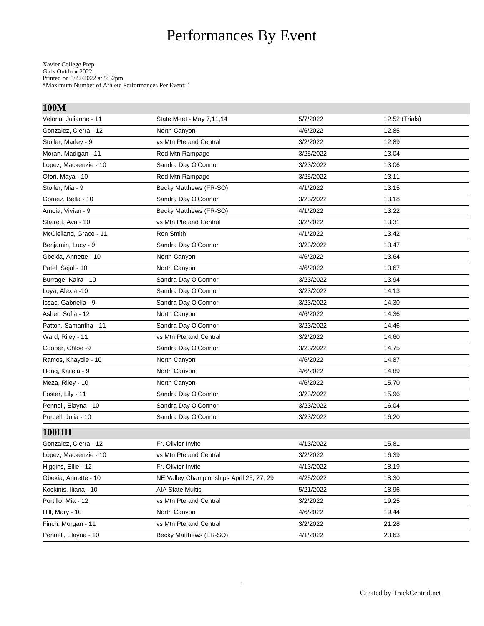# Performances By Event

Xavier College Prep Girls Outdoor 2022 Printed on 5/22/2022 at 5:32pm \*Maximum Number of Athlete Performances Per Event: 1

| 100M                   |                                          |           |                |
|------------------------|------------------------------------------|-----------|----------------|
| Veloria, Julianne - 11 | State Meet - May 7,11,14                 | 5/7/2022  | 12.52 (Trials) |
| Gonzalez, Cierra - 12  | North Canyon                             | 4/6/2022  | 12.85          |
| Stoller, Marley - 9    | vs Mtn Pte and Central                   | 3/2/2022  | 12.89          |
| Moran, Madigan - 11    | Red Mtn Rampage                          | 3/25/2022 | 13.04          |
| Lopez, Mackenzie - 10  | Sandra Day O'Connor                      | 3/23/2022 | 13.06          |
| Ofori, Maya - 10       | Red Mtn Rampage                          | 3/25/2022 | 13.11          |
| Stoller, Mia - 9       | Becky Matthews (FR-SO)                   | 4/1/2022  | 13.15          |
| Gomez, Bella - 10      | Sandra Day O'Connor                      | 3/23/2022 | 13.18          |
| Amoia, Vivian - 9      | Becky Matthews (FR-SO)                   | 4/1/2022  | 13.22          |
| Sharett, Ava - 10      | vs Mtn Pte and Central                   | 3/2/2022  | 13.31          |
| McClelland, Grace - 11 | Ron Smith                                | 4/1/2022  | 13.42          |
| Benjamin, Lucy - 9     | Sandra Day O'Connor                      | 3/23/2022 | 13.47          |
| Gbekia, Annette - 10   | North Canyon                             | 4/6/2022  | 13.64          |
| Patel, Sejal - 10      | North Canyon                             | 4/6/2022  | 13.67          |
| Burrage, Kaira - 10    | Sandra Day O'Connor                      | 3/23/2022 | 13.94          |
| Loya, Alexia -10       | Sandra Day O'Connor                      | 3/23/2022 | 14.13          |
| Issac, Gabriella - 9   | Sandra Day O'Connor                      | 3/23/2022 | 14.30          |
| Asher, Sofia - 12      | North Canyon                             | 4/6/2022  | 14.36          |
| Patton, Samantha - 11  | Sandra Day O'Connor                      | 3/23/2022 | 14.46          |
| Ward, Riley - 11       | vs Mtn Pte and Central                   | 3/2/2022  | 14.60          |
| Cooper, Chloe -9       | Sandra Day O'Connor                      | 3/23/2022 | 14.75          |
| Ramos, Khaydie - 10    | North Canyon                             | 4/6/2022  | 14.87          |
| Hong, Kaileia - 9      | North Canyon                             | 4/6/2022  | 14.89          |
| Meza, Riley - 10       | North Canyon                             | 4/6/2022  | 15.70          |
| Foster, Lily - 11      | Sandra Day O'Connor                      | 3/23/2022 | 15.96          |
| Pennell, Elayna - 10   | Sandra Day O'Connor                      | 3/23/2022 | 16.04          |
| Purcell, Julia - 10    | Sandra Day O'Connor                      | 3/23/2022 | 16.20          |
| <b>100HH</b>           |                                          |           |                |
| Gonzalez, Cierra - 12  | Fr. Olivier Invite                       | 4/13/2022 | 15.81          |
| Lopez, Mackenzie - 10  | vs Mtn Pte and Central                   | 3/2/2022  | 16.39          |
| Higgins, Ellie - 12    | Fr. Olivier Invite                       | 4/13/2022 | 18.19          |
| Gbekia, Annette - 10   | NE Valley Championships April 25, 27, 29 | 4/25/2022 | 18.30          |
| Kockinis, Iliana - 10  | <b>AIA State Multis</b>                  | 5/21/2022 | 18.96          |
| Portillo, Mia - 12     | vs Mtn Pte and Central                   | 3/2/2022  | 19.25          |
| Hill, Mary - 10        | North Canyon                             | 4/6/2022  | 19.44          |
| Finch, Morgan - 11     | vs Mtn Pte and Central                   | 3/2/2022  | 21.28          |
| Pennell, Elayna - 10   | Becky Matthews (FR-SO)                   | 4/1/2022  | 23.63          |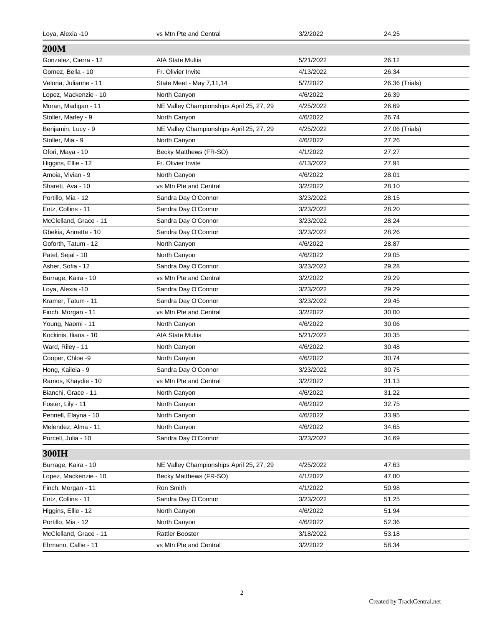| Loya, Alexia -10       | vs Mtn Pte and Central                   | 3/2/2022  | 24.25          |
|------------------------|------------------------------------------|-----------|----------------|
| <b>200M</b>            |                                          |           |                |
| Gonzalez, Cierra - 12  | <b>AIA State Multis</b>                  | 5/21/2022 | 26.12          |
| Gomez, Bella - 10      | Fr. Olivier Invite                       | 4/13/2022 | 26.34          |
| Veloria, Julianne - 11 | State Meet - May 7,11,14                 | 5/7/2022  | 26.36 (Trials) |
| Lopez, Mackenzie - 10  | North Canyon                             | 4/6/2022  | 26.39          |
| Moran, Madigan - 11    | NE Valley Championships April 25, 27, 29 | 4/25/2022 | 26.69          |
| Stoller, Marley - 9    | North Canyon                             | 4/6/2022  | 26.74          |
| Benjamin, Lucy - 9     | NE Valley Championships April 25, 27, 29 | 4/25/2022 | 27.06 (Trials) |
| Stoller, Mia - 9       | North Canyon                             | 4/6/2022  | 27.26          |
| Ofori, Maya - 10       | Becky Matthews (FR-SO)                   | 4/1/2022  | 27.27          |
| Higgins, Ellie - 12    | Fr. Olivier Invite                       | 4/13/2022 | 27.91          |
| Amoia, Vivian - 9      | North Canyon                             | 4/6/2022  | 28.01          |
| Sharett, Ava - 10      | vs Mtn Pte and Central                   | 3/2/2022  | 28.10          |
| Portillo, Mia - 12     | Sandra Day O'Connor                      | 3/23/2022 | 28.15          |
| Entz, Collins - 11     | Sandra Day O'Connor                      | 3/23/2022 | 28.20          |
| McClelland, Grace - 11 | Sandra Day O'Connor                      | 3/23/2022 | 28.24          |
| Gbekia, Annette - 10   | Sandra Day O'Connor                      | 3/23/2022 | 28.26          |
| Goforth, Tatum - 12    | North Canyon                             | 4/6/2022  | 28.87          |
| Patel, Sejal - 10      | North Canyon                             | 4/6/2022  | 29.05          |
| Asher, Sofia - 12      | Sandra Day O'Connor                      | 3/23/2022 | 29.28          |
| Burrage, Kaira - 10    | vs Mtn Pte and Central                   | 3/2/2022  | 29.29          |
| Loya, Alexia -10       | Sandra Day O'Connor                      | 3/23/2022 | 29.29          |
| Kramer, Tatum - 11     | Sandra Day O'Connor                      | 3/23/2022 | 29.45          |
| Finch, Morgan - 11     | vs Mtn Pte and Central                   | 3/2/2022  | 30.00          |
| Young, Naomi - 11      | North Canyon                             | 4/6/2022  | 30.06          |
| Kockinis, Iliana - 10  | <b>AIA State Multis</b>                  | 5/21/2022 | 30.35          |
| Ward, Riley - 11       | North Canyon                             | 4/6/2022  | 30.48          |
| Cooper, Chloe -9       | North Canyon                             | 4/6/2022  | 30.74          |
| Hong, Kaileia - 9      | Sandra Day O'Connor                      | 3/23/2022 | 30.75          |
| Ramos, Khaydie - 10    | vs Mtn Pte and Central                   | 3/2/2022  | 31.13          |
| Bianchi, Grace - 11    | North Canyon                             | 4/6/2022  | 31.22          |
| Foster, Lily - 11      | North Canyon                             | 4/6/2022  | 32.75          |
| Pennell, Elayna - 10   | North Canyon                             | 4/6/2022  | 33.95          |
| Melendez, Alma - 11    | North Canyon                             | 4/6/2022  | 34.65          |
| Purcell, Julia - 10    | Sandra Day O'Connor                      | 3/23/2022 | 34.69          |
| 300IH                  |                                          |           |                |
| Burrage, Kaira - 10    | NE Valley Championships April 25, 27, 29 | 4/25/2022 | 47.63          |
| Lopez, Mackenzie - 10  | Becky Matthews (FR-SO)                   | 4/1/2022  | 47.80          |
| Finch, Morgan - 11     | Ron Smith                                | 4/1/2022  | 50.98          |
| Entz, Collins - 11     | Sandra Day O'Connor                      | 3/23/2022 | 51.25          |
| Higgins, Ellie - 12    | North Canyon                             | 4/6/2022  | 51.94          |
| Portillo, Mia - 12     | North Canyon                             | 4/6/2022  | 52.36          |
| McClelland, Grace - 11 | <b>Rattler Booster</b>                   | 3/18/2022 | 53.18          |
| Ehmann, Callie - 11    | vs Mtn Pte and Central                   | 3/2/2022  | 58.34          |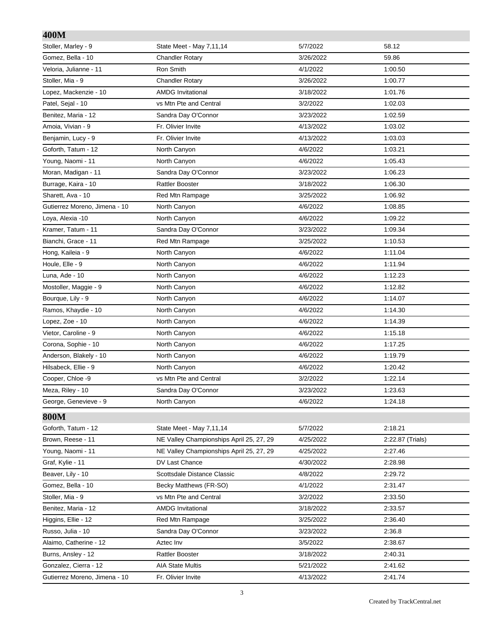## **400M**

| 400M                          |                                          |           |                  |
|-------------------------------|------------------------------------------|-----------|------------------|
| Stoller, Marley - 9           | State Meet - May 7,11,14                 | 5/7/2022  | 58.12            |
| Gomez, Bella - 10             | <b>Chandler Rotary</b>                   | 3/26/2022 | 59.86            |
| Veloria, Julianne - 11        | Ron Smith                                | 4/1/2022  | 1:00.50          |
| Stoller, Mia - 9              | <b>Chandler Rotary</b>                   | 3/26/2022 | 1:00.77          |
| Lopez, Mackenzie - 10         | <b>AMDG Invitational</b>                 | 3/18/2022 | 1:01.76          |
| Patel, Sejal - 10             | vs Mtn Pte and Central                   | 3/2/2022  | 1:02.03          |
| Benitez, Maria - 12           | Sandra Day O'Connor                      | 3/23/2022 | 1:02.59          |
| Amoia, Vivian - 9             | Fr. Olivier Invite                       | 4/13/2022 | 1:03.02          |
| Benjamin, Lucy - 9            | Fr. Olivier Invite                       | 4/13/2022 | 1:03.03          |
| Goforth, Tatum - 12           | North Canyon                             | 4/6/2022  | 1:03.21          |
| Young, Naomi - 11             | North Canyon                             | 4/6/2022  | 1:05.43          |
| Moran, Madigan - 11           | Sandra Day O'Connor                      | 3/23/2022 | 1:06.23          |
| Burrage, Kaira - 10           | <b>Rattler Booster</b>                   | 3/18/2022 | 1:06.30          |
| Sharett, Ava - 10             | Red Mtn Rampage                          | 3/25/2022 | 1:06.92          |
| Gutierrez Moreno, Jimena - 10 | North Canyon                             | 4/6/2022  | 1:08.85          |
| Loya, Alexia -10              | North Canyon                             | 4/6/2022  | 1:09.22          |
| Kramer, Tatum - 11            | Sandra Day O'Connor                      | 3/23/2022 | 1:09.34          |
| Bianchi, Grace - 11           | Red Mtn Rampage                          | 3/25/2022 | 1:10.53          |
| Hong, Kaileia - 9             | North Canyon                             | 4/6/2022  | 1:11.04          |
| Houle, Elle - 9               | North Canyon                             | 4/6/2022  | 1:11.94          |
| Luna, Ade - 10                | North Canyon                             | 4/6/2022  | 1:12.23          |
| Mostoller, Maggie - 9         | North Canyon                             | 4/6/2022  | 1:12.82          |
| Bourque, Lily - 9             | North Canyon                             | 4/6/2022  | 1:14.07          |
| Ramos, Khaydie - 10           | North Canyon                             | 4/6/2022  | 1:14.30          |
| Lopez, Zoe - 10               | North Canyon                             | 4/6/2022  | 1:14.39          |
| Vietor, Caroline - 9          | North Canyon                             | 4/6/2022  | 1:15.18          |
| Corona, Sophie - 10           | North Canyon                             | 4/6/2022  | 1:17.25          |
| Anderson, Blakely - 10        | North Canyon                             | 4/6/2022  | 1:19.79          |
| Hilsabeck, Ellie - 9          | North Canyon                             | 4/6/2022  | 1:20.42          |
| Cooper, Chloe -9              | vs Mtn Pte and Central                   | 3/2/2022  | 1:22.14          |
| Meza, Riley - 10              | Sandra Day O'Connor                      | 3/23/2022 | 1:23.63          |
| George, Genevieve - 9         | North Canyon                             | 4/6/2022  | 1:24.18          |
| <b>800M</b>                   |                                          |           |                  |
| Goforth, Tatum - 12           | State Meet - May 7,11,14                 | 5/7/2022  | 2:18.21          |
| Brown, Reese - 11             | NE Valley Championships April 25, 27, 29 | 4/25/2022 | 2:22.87 (Trials) |
| Young, Naomi - 11             | NE Valley Championships April 25, 27, 29 | 4/25/2022 | 2:27.46          |
| Graf, Kylie - 11              | DV Last Chance                           | 4/30/2022 | 2:28.98          |
| Beaver, Lily - 10             | Scottsdale Distance Classic              | 4/8/2022  | 2:29.72          |
| Gomez, Bella - 10             | Becky Matthews (FR-SO)                   | 4/1/2022  | 2:31.47          |
| Stoller, Mia - 9              | vs Mtn Pte and Central                   | 3/2/2022  | 2:33.50          |
| Benitez, Maria - 12           | <b>AMDG Invitational</b>                 | 3/18/2022 | 2:33.57          |
| Higgins, Ellie - 12           | Red Mtn Rampage                          | 3/25/2022 | 2:36.40          |
| Russo, Julia - 10             | Sandra Day O'Connor                      | 3/23/2022 | 2:36.8           |
| Alaimo, Catherine - 12        | Aztec Inv                                | 3/5/2022  | 2:38.67          |
| Burns, Ansley - 12            | <b>Rattler Booster</b>                   | 3/18/2022 | 2:40.31          |
| Gonzalez, Cierra - 12         | <b>AIA State Multis</b>                  | 5/21/2022 | 2:41.62          |
| Gutierrez Moreno, Jimena - 10 | Fr. Olivier Invite                       | 4/13/2022 | 2:41.74          |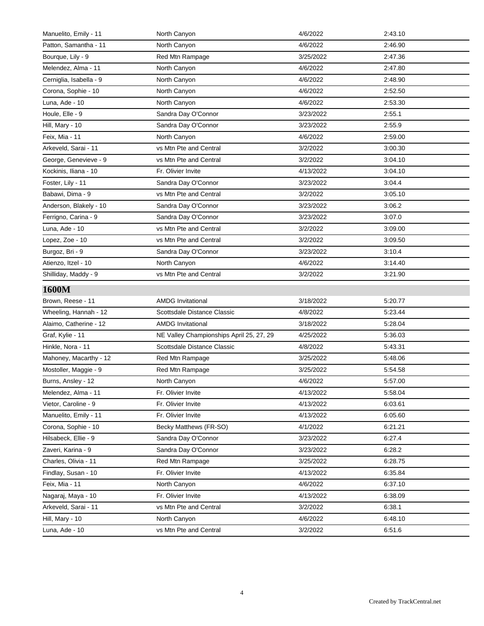| Manuelito, Emily - 11   | North Canyon                             | 4/6/2022  | 2:43.10 |
|-------------------------|------------------------------------------|-----------|---------|
| Patton, Samantha - 11   | North Canyon                             | 4/6/2022  | 2:46.90 |
| Bourque, Lily - 9       | Red Mtn Rampage                          | 3/25/2022 | 2:47.36 |
| Melendez, Alma - 11     | North Canyon                             | 4/6/2022  | 2:47.80 |
| Cerniglia, Isabella - 9 | North Canyon                             | 4/6/2022  | 2:48.90 |
| Corona, Sophie - 10     | North Canyon                             | 4/6/2022  | 2:52.50 |
| Luna, Ade - 10          | North Canyon                             | 4/6/2022  | 2:53.30 |
| Houle, Elle - 9         | Sandra Day O'Connor                      | 3/23/2022 | 2:55.1  |
| Hill, Mary - 10         | Sandra Day O'Connor                      | 3/23/2022 | 2:55.9  |
| Feix, Mia - 11          | North Canyon                             | 4/6/2022  | 2:59.00 |
| Arkeveld, Sarai - 11    | vs Mtn Pte and Central                   | 3/2/2022  | 3:00.30 |
| George, Genevieve - 9   | vs Mtn Pte and Central                   | 3/2/2022  | 3:04.10 |
| Kockinis, Iliana - 10   | Fr. Olivier Invite                       | 4/13/2022 | 3:04.10 |
| Foster, Lily - 11       | Sandra Day O'Connor                      | 3/23/2022 | 3:04.4  |
| Babawi, Dima - 9        | vs Mtn Pte and Central                   | 3/2/2022  | 3:05.10 |
| Anderson, Blakely - 10  | Sandra Day O'Connor                      | 3/23/2022 | 3:06.2  |
| Ferrigno, Carina - 9    | Sandra Day O'Connor                      | 3/23/2022 | 3:07.0  |
| Luna, Ade - 10          | vs Mtn Pte and Central                   | 3/2/2022  | 3:09.00 |
| Lopez, Zoe - 10         | vs Mtn Pte and Central                   | 3/2/2022  | 3:09.50 |
| Burgoz, Bri - 9         | Sandra Day O'Connor                      | 3/23/2022 | 3:10.4  |
| Atienzo, Itzel - 10     | North Canyon                             | 4/6/2022  | 3:14.40 |
| Shilliday, Maddy - 9    | vs Mtn Pte and Central                   | 3/2/2022  | 3:21.90 |
| 1600M                   |                                          |           |         |
| Brown, Reese - 11       | <b>AMDG</b> Invitational                 | 3/18/2022 | 5:20.77 |
| Wheeling, Hannah - 12   | Scottsdale Distance Classic              | 4/8/2022  | 5:23.44 |
| Alaimo, Catherine - 12  | <b>AMDG Invitational</b>                 | 3/18/2022 | 5:28.04 |
| Graf, Kylie - 11        | NE Valley Championships April 25, 27, 29 | 4/25/2022 | 5:36.03 |
| Hinkle, Nora - 11       | Scottsdale Distance Classic              | 4/8/2022  | 5:43.31 |
| Mahoney, Macarthy - 12  | Red Mtn Rampage                          | 3/25/2022 | 5:48.06 |
| Mostoller, Maggie - 9   | Red Mtn Rampage                          | 3/25/2022 | 5:54.58 |
| Burns, Ansley - 12      | North Canyon                             | 4/6/2022  | 5:57.00 |
| Melendez, Alma - 11     | Fr. Olivier Invite                       | 4/13/2022 | 5:58.04 |
| Vietor, Caroline - 9    | Fr. Olivier Invite                       | 4/13/2022 | 6:03.61 |
| Manuelito, Emily - 11   | Fr. Olivier Invite                       | 4/13/2022 | 6:05.60 |
| Corona, Sophie - 10     | Becky Matthews (FR-SO)                   | 4/1/2022  | 6:21.21 |
| Hilsabeck, Ellie - 9    | Sandra Day O'Connor                      | 3/23/2022 | 6.27.4  |
| Zaveri, Karina - 9      | Sandra Day O'Connor                      | 3/23/2022 | 6:28.2  |
| Charles, Olivia - 11    | Red Mtn Rampage                          | 3/25/2022 | 6:28.75 |
| Findlay, Susan - 10     | Fr. Olivier Invite                       | 4/13/2022 | 6:35.84 |
| Feix, Mia - 11          | North Canyon                             | 4/6/2022  | 6:37.10 |
| Nagaraj, Maya - 10      | Fr. Olivier Invite                       | 4/13/2022 | 6:38.09 |
| Arkeveld, Sarai - 11    | vs Mtn Pte and Central                   | 3/2/2022  | 6.38.1  |
| Hill, Mary - 10         | North Canyon                             | 4/6/2022  | 6:48.10 |
| Luna, Ade - 10          | vs Mtn Pte and Central                   | 3/2/2022  | 6.51.6  |
|                         |                                          |           |         |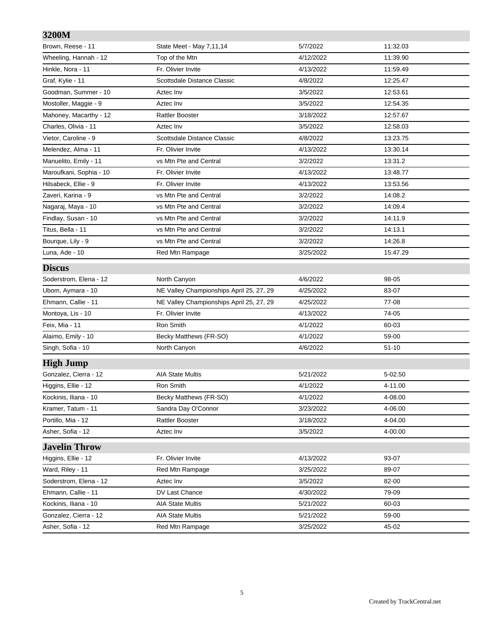## **3200M** Brown, Reese - 11 **State Meet - May 7,11,14** 5/7/2022 5/7/2022 5/7/2022 5/7/2022 5/7/2022 5/7/2022 5/7/2022 5/7/2022 5/7/2022 5/7/2022 5/7/2022 5/7/2022 5/7/2022 5/7/2022 5/7/2022 5/7/2022 5/7/2022 5/7/2022 5/7/2022 5/7/20 Wheeling, Hannah - 12 Top of the Mtn 4/12/2022 4/12/2022 11:39.90 Hinkle, Nora - 11 **Fr.** Olivier Invite **11:59.49** The May 12:59.49 Graf, Kylie - 11 Scottsdale Distance Classic 4/8/2022 12:25.47 Goodman, Summer - 10 **Aztec Inv** Aztec Inv 3/5/2022 3/6/2022 12:53.61 Mostoller, Maggie - 9 **Aztec Inv Axtec Inv** 3/5/2022 12:54.35 Mahoney, Macarthy - 12 **Rattler Booster 3/18/2022** 3/18/2022 12:57.67 Charles, Olivia - 11 Aztec Inv 3/5/2022 12:58.03 Vietor, Caroline - 9 **Scottsdale Distance Classic** 4/8/2022 13:23.75 Melendez, Alma - 11 **Fr.** Olivier Invite **1998** 14/13/2022 13:30.14 Manuelito, Emily - 11 vs Mtn Pte and Central 13/2002 3/2/2022 13:31.2 Maroufkani, Sophia - 10 Fr. Olivier Invite 1996 13:48.77 Hilsabeck, Ellie - 9 **Fr.** Olivier Invite **19 Communist 12:53.56** Communist 2002 2004/13/2022 Zaveri, Karina - 9 vs Mtn Pte and Central 3/2/2022 14:08.2 Nagaraj, Maya - 10 vs Mtn Pte and Central 3/2/2022 14:09.4 Findlay, Susan - 10 **by Supplem 2018** vs Mtn Pte and Central **14:11.9** 3/2/2022 14:11.9 Titus, Bella - 11 vs Mtn Pte and Central 3/2/2022 14:13.1 Bourque, Lily - 9 vs Mtn Pte and Central 3/2/2022 14:26.8 Luna, Ade - 10 Red Mtn Rampage 3/25/2022 15:47.29 **Discus** Soderstrom, Elena - 12 North Canyon **1/6/2022** 98-05 Ubom, Aymara - 10 NE Valley Championships April 25, 27, 29 4/25/2022 83-07 Ehmann, Callie - 11 NE Valley Championships April 25, 27, 29 4/25/2022 77-08 Montoya, Lis - 10 Fr. Olivier Invite 4/13/2022 74-05 Feix, Mia - 11 Ron Smith 4/1/2022 60-03 Alaimo, Emily - 10 **Becky Matthews (FR-SO)** 4/1/2022 4/1/2022 59-00 Singh, Sofia - 10 North Canyon 4/6/2022 51-10 **High Jump** Gonzalez, Cierra - 12 **AIA State Multis 5/21/2022** 5-02.50 Higgins, Ellie - 12 **Ron Smith 19 and Allie's Contract Allie** Allie - 12 and 4/1/2022 4-11.00 Kockinis, Iliana - 10 **Becky Matthews (FR-SO)** and the detailed the detailed the detailed the detailed the detail Kramer, Tatum - 11 **Sandra Day O'Connor** 1 3/23/2022 4-06.00 Portillo, Mia - 12 **Portillo, Mia - 12** Actual Rattler Booster **3/18/2022** 4-04.00 Asher, Sofia - 12 **Aztec Inv Aztec Inv 3/5/2022** 4-00.00 **Javelin Throw** Higgins, Ellie - 12 **Fr. Olivier Invite 12 Higgins**, Ellie - 12 **93-07** Ward, Riley - 11 **Red Mtn Rampage 12 Contract 2012** 3/25/2022 89-07 Soderstrom, Elena - 12 **Aztec Inv** Aztec Inv 3/5/2022 82-00 Ehmann, Callie - 11 **DV Last Chance 19-09 12-11 2010 4/30/2022 79-09** Kockinis, Iliana - 10 **AIA State Multis** 60-03 **60-03** 60-03 Gonzalez, Cierra - 12 **AIA State Multis** 6/21/2022 59-00

Asher, Sofia - 12 **Red Mtn Rampage 12 Red Mtn Rampage** 3/25/2022 45-02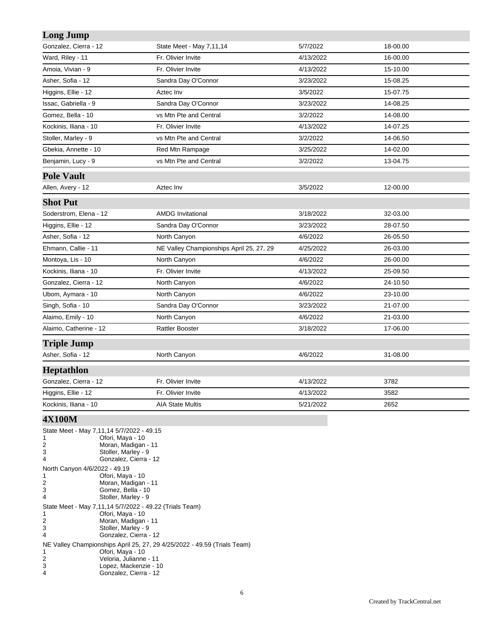| <b>Long Jump</b>                 |                                          |           |          |  |
|----------------------------------|------------------------------------------|-----------|----------|--|
| Gonzalez, Cierra - 12            | State Meet - May 7,11,14                 | 5/7/2022  | 18-00.00 |  |
| Ward, Riley - 11                 | Fr. Olivier Invite                       | 4/13/2022 | 16-00.00 |  |
| Amoia, Vivian - 9                | Fr. Olivier Invite                       | 4/13/2022 | 15-10.00 |  |
| Asher, Sofia - 12                | Sandra Day O'Connor                      | 3/23/2022 | 15-08.25 |  |
| Higgins, Ellie - 12              | Aztec Inv                                | 3/5/2022  | 15-07.75 |  |
| Issac, Gabriella - 9             | Sandra Day O'Connor                      | 3/23/2022 | 14-08.25 |  |
| Gomez, Bella - 10                | vs Mtn Pte and Central                   | 3/2/2022  | 14-08.00 |  |
| Kockinis, Iliana - 10            | Fr. Olivier Invite                       | 4/13/2022 | 14-07.25 |  |
| Stoller, Marley - 9              | vs Mtn Pte and Central                   | 3/2/2022  | 14-06.50 |  |
| Gbekia, Annette - 10             | Red Mtn Rampage                          | 3/25/2022 | 14-02.00 |  |
| Benjamin, Lucy - 9               | vs Mtn Pte and Central                   | 3/2/2022  | 13-04.75 |  |
| <b>Pole Vault</b>                |                                          |           |          |  |
| Allen, Avery - 12                | Aztec Inv                                | 3/5/2022  | 12-00.00 |  |
| <b>Shot Put</b>                  |                                          |           |          |  |
| Soderstrom, Elena - 12           | <b>AMDG Invitational</b>                 | 3/18/2022 | 32-03.00 |  |
| Higgins, Ellie - 12              | Sandra Day O'Connor                      | 3/23/2022 | 28-07.50 |  |
| Asher, Sofia - 12                | North Canyon                             | 4/6/2022  | 26-05.50 |  |
| Ehmann, Callie - 11              | NE Valley Championships April 25, 27, 29 | 4/25/2022 | 26-03.00 |  |
| Montoya, Lis - 10                | North Canyon                             | 4/6/2022  | 26-00.00 |  |
| Kockinis, Iliana - 10            | Fr. Olivier Invite                       | 4/13/2022 | 25-09.50 |  |
| Gonzalez, Cierra - 12            | North Canyon                             | 4/6/2022  | 24-10.50 |  |
| Ubom, Aymara - 10                | North Canyon                             | 4/6/2022  | 23-10.00 |  |
| Singh, Sofia - 10                | Sandra Day O'Connor                      | 3/23/2022 | 21-07.00 |  |
| Alaimo, Emily - 10               | North Canyon                             | 4/6/2022  | 21-03.00 |  |
| Alaimo, Catherine - 12           | <b>Rattler Booster</b>                   | 3/18/2022 | 17-06.00 |  |
| <b>Triple Jump</b>               |                                          |           |          |  |
| Asher, Sofia - 12                | North Canyon                             | 4/6/2022  | 31-08.00 |  |
| <b>Heptathlon</b>                |                                          |           |          |  |
| Gonzalez, Cierra - 12            | Fr. Olivier Invite                       | 4/13/2022 | 3782     |  |
| Higgins, Ellie - 12              | Fr. Olivier Invite                       | 4/13/2022 | 3582     |  |
| Kockinis, Iliana - 10            | <b>AIA State Multis</b>                  | 5/21/2022 | 2652     |  |
| $\mathbf{v}$ za oon $\mathbf{r}$ |                                          |           |          |  |

#### **4X100M**

| 1<br>2                        | State Meet - May 7,11,14 5/7/2022 - 49.15<br>Ofori, Maya - 10<br>Moran, Madigan - 11 |
|-------------------------------|--------------------------------------------------------------------------------------|
| 3                             | Stoller, Marley - 9                                                                  |
| 4                             | Gonzalez, Cierra - 12                                                                |
| North Canyon 4/6/2022 - 49.19 |                                                                                      |
| 1                             | Ofori, Maya - 10                                                                     |
| 2                             | Moran, Madigan - 11                                                                  |
| 3                             | Gomez, Bella - 10                                                                    |
| 4                             | Stoller, Marley - 9                                                                  |
|                               | State Meet - May 7,11,14 5/7/2022 - 49.22 (Trials Team)                              |
| 1                             | Ofori, Maya - 10                                                                     |
| 2                             | Moran, Madigan - 11                                                                  |
| 3                             | Stoller, Marley - 9                                                                  |
| 4                             | Gonzalez, Cierra - 12                                                                |
|                               | NE Valley Championships April 25, 27, 29 4/25/2022 - 49.59 (Trials Team)             |
| 1                             | Ofori, Maya - 10                                                                     |
| 2                             | Veloria, Julianne - 11                                                               |
| 3                             | Lopez, Mackenzie - 10                                                                |
| 4                             | Gonzalez, Cierra - 12                                                                |
|                               |                                                                                      |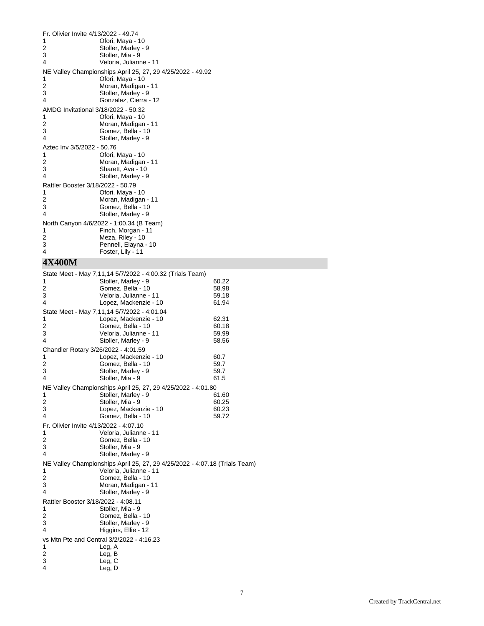| Fr. Olivier Invite 4/13/2022 - 49.74 |                                                            |
|--------------------------------------|------------------------------------------------------------|
| 1                                    | Ofori, Maya - 10                                           |
| 2                                    | Stoller, Marley - 9                                        |
| 3                                    | Stoller, Mia - 9                                           |
| 4                                    | Veloria, Julianne - 11                                     |
|                                      | NE Valley Championships April 25, 27, 29 4/25/2022 - 49.92 |
| 1                                    | Ofori, Maya - 10                                           |
| 2                                    | Moran, Madigan - 11                                        |
| 3                                    | Stoller, Marley - 9                                        |
| 4                                    | Gonzalez, Cierra - 12                                      |
| AMDG Invitational 3/18/2022 - 50.32  |                                                            |
| 1                                    | Ofori, Maya - 10                                           |
| 2                                    | Moran, Madigan - 11                                        |
| 3                                    | Gomez, Bella - 10                                          |
| $\overline{4}$                       | Stoller, Marley - 9                                        |
| Aztec Inv 3/5/2022 - 50.76           |                                                            |
| 1                                    | Ofori, Maya - 10                                           |
| 2                                    | Moran, Madigan - 11                                        |
| 3                                    | Sharett, Ava - 10                                          |
| 4                                    | Stoller, Marley - 9                                        |
| Rattler Booster 3/18/2022 - 50.79    |                                                            |
| 1                                    | Ofori, Maya - 10                                           |
| 2                                    | Moran, Madigan - 11                                        |
| 3                                    | Gomez, Bella - 10                                          |
| 4                                    | Stoller, Marley - 9                                        |
|                                      | North Canyon 4/6/2022 - 1:00.34 (B Team)                   |
| 1                                    | Finch, Morgan - 11                                         |
| 2                                    | Meza, Riley - 10                                           |
| 3                                    | Pennell, Elayna - 10                                       |
| $\overline{4}$                       | Foster, Lily - 11                                          |
|                                      |                                                            |

# **4X400M**

|                                        | State Meet - May 7,11,14 5/7/2022 - 4:00.32 (Trials Team)                  |       |
|----------------------------------------|----------------------------------------------------------------------------|-------|
| 1                                      | Stoller, Marley - 9                                                        | 60.22 |
| 2                                      | Gomez, Bella - 10                                                          | 58.98 |
| 3                                      | Veloria, Julianne - 11                                                     | 59.18 |
| 4                                      | Lopez, Mackenzie - 10                                                      | 61.94 |
|                                        | State Meet - May 7,11,14 5/7/2022 - 4:01.04                                |       |
| 1                                      | Lopez, Mackenzie - 10                                                      | 62.31 |
| 2                                      | Gomez, Bella - 10                                                          | 60.18 |
| 3                                      | Veloria, Julianne - 11                                                     | 59.99 |
| 4                                      | Stoller, Marley - 9                                                        | 58.56 |
| Chandler Rotary 3/26/2022 - 4:01.59    |                                                                            |       |
| 1                                      | Lopez, Mackenzie - 10                                                      | 60.7  |
| 2                                      | Gomez, Bella - 10                                                          | 59.7  |
| 3                                      | Stoller, Marley - 9                                                        | 59.7  |
| 4                                      | Stoller, Mia - 9                                                           | 61.5  |
|                                        | NE Valley Championships April 25, 27, 29 4/25/2022 - 4:01.80               |       |
| 1                                      | Stoller, Marley - 9                                                        | 61.60 |
| 2                                      | Stoller, Mia - 9                                                           | 60.25 |
| 3                                      | Lopez, Mackenzie - 10                                                      | 60.23 |
| 4                                      | Gomez, Bella - 10                                                          | 59.72 |
| Fr. Olivier Invite 4/13/2022 - 4:07.10 |                                                                            |       |
| 1                                      | Veloria, Julianne - 11                                                     |       |
| 2                                      | Gomez, Bella - 10                                                          |       |
| 3                                      | Stoller, Mia - 9                                                           |       |
| 4                                      | Stoller, Marley - 9                                                        |       |
|                                        | NE Valley Championships April 25, 27, 29 4/25/2022 - 4:07.18 (Trials Team) |       |
| 1                                      | Veloria, Julianne - 11                                                     |       |
| 2                                      | Gomez, Bella - 10                                                          |       |
| 3                                      | Moran, Madigan - 11                                                        |       |
| 4                                      | Stoller, Marley - 9                                                        |       |
| Rattler Booster 3/18/2022 - 4:08.11    |                                                                            |       |
| 1                                      | Stoller, Mia - 9                                                           |       |
| 2                                      | Gomez, Bella - 10                                                          |       |
| 3                                      | Stoller, Marley - 9                                                        |       |
| 4                                      | Higgins, Ellie - 12                                                        |       |
|                                        | vs Mtn Pte and Central 3/2/2022 - 4:16.23                                  |       |
| 1                                      | Leg, A                                                                     |       |
| 2                                      | Leg, B                                                                     |       |
| 3                                      | Leg, C                                                                     |       |
| 4                                      | Leg, D                                                                     |       |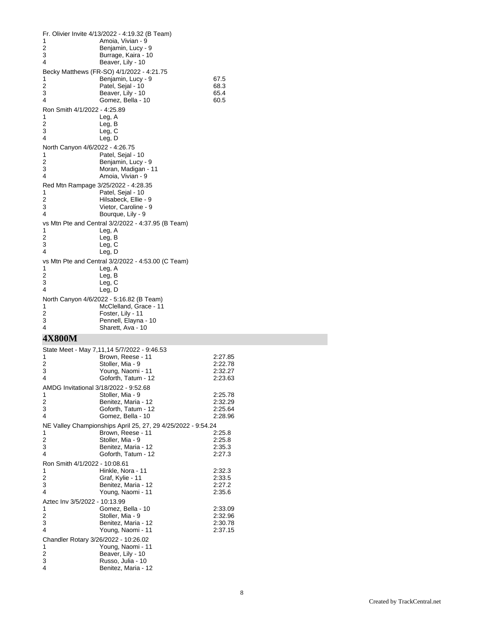|                                      | Fr. Olivier Invite 4/13/2022 - 4:19.32 (B Team)              |                    |
|--------------------------------------|--------------------------------------------------------------|--------------------|
| 1                                    | Amoia, Vivian - 9                                            |                    |
| 2<br>3                               | Benjamin, Lucy - 9<br>Burrage, Kaira - 10                    |                    |
| 4                                    | Beaver, Lily - 10                                            |                    |
|                                      | Becky Matthews (FR-SO) 4/1/2022 - 4:21.75                    |                    |
| 1<br>2                               | Benjamin, Lucy - 9<br>Patel, Sejal - 10                      | 67.5<br>68.3       |
| 3                                    | Beaver, Lily - 10                                            | 65.4               |
| 4                                    | Gomez, Bella - 10                                            | 60.5               |
| Ron Smith 4/1/2022 - 4:25.89<br>1    |                                                              |                    |
| 2                                    | Leg, A<br>Leg, B                                             |                    |
| 3                                    | Leg, C                                                       |                    |
| 4                                    | Leg, D                                                       |                    |
| North Canyon 4/6/2022 - 4:26.75<br>1 | Patel, Sejal - 10                                            |                    |
| 2                                    | Benjamin, Lucy - 9                                           |                    |
| 3                                    | Moran, Madigan - 11                                          |                    |
| 4                                    | Amoia, Vivian - 9                                            |                    |
| 1                                    | Red Mtn Rampage 3/25/2022 - 4:28.35<br>Patel, Sejal - 10     |                    |
| 2                                    | Hilsabeck, Ellie - 9                                         |                    |
| 3                                    | Vietor, Caroline - 9                                         |                    |
| 4                                    | Bourque, Lily - 9                                            |                    |
| 1                                    | vs Mtn Pte and Central 3/2/2022 - 4:37.95 (B Team)           |                    |
| 2                                    | Leg, A<br>Leg, B                                             |                    |
| 3                                    | Leg, C                                                       |                    |
| 4                                    | Leg, D                                                       |                    |
| 1                                    | vs Mtn Pte and Central 3/2/2022 - 4:53.00 (C Team)           |                    |
| 2                                    | Leg, A<br>Leg, B                                             |                    |
| 3                                    | Leg, C                                                       |                    |
| 4                                    | Leg, D                                                       |                    |
|                                      | North Canyon 4/6/2022 - 5:16.82 (B Team)                     |                    |
|                                      |                                                              |                    |
| 1<br>2                               | McClelland, Grace - 11<br>Foster, Lily - 11                  |                    |
| 3                                    | Pennell, Elayna - 10                                         |                    |
| 4                                    | Sharett, Ava - 10                                            |                    |
| 4X800M                               |                                                              |                    |
|                                      | State Meet - May 7,11,14 5/7/2022 - 9:46.53                  |                    |
| 1                                    | Brown, Reese - 11                                            | 2:27.85            |
| 2<br>3                               | Stoller, Mia - 9<br>Young, Naomi - 11                        | 2:22.78<br>2:32.27 |
| 4                                    | Goforth, Tatum - 12                                          | 2:23.63            |
|                                      | AMDG Invitational 3/18/2022 - 9:52.68                        |                    |
| 1                                    | Stoller, Mia - 9                                             | 2:25.78            |
| 2<br>3                               | Benitez, Maria - 12<br>Goforth, Tatum - 12                   | 2:32.29<br>2:25.64 |
| 4                                    | Gomez, Bella - 10                                            | 2:28.96            |
|                                      | NE Valley Championships April 25, 27, 29 4/25/2022 - 9:54.24 |                    |
| 1                                    | Brown, Reese - 11                                            | 2:25.8             |
| 2<br>3                               | Stoller, Mia - 9<br>Benitez, Maria - 12                      | 2:25.8<br>2:35.3   |
| 4                                    | Goforth, Tatum - 12                                          | 2:27.3             |
| Ron Smith 4/1/2022 - 10:08.61        |                                                              |                    |
| 1<br>2                               | Hinkle, Nora - 11<br>Graf, Kylie - 11                        | 2:32.3<br>2:33.5   |
| 3                                    | Benitez, Maria - 12                                          | 2:27.2             |
| 4                                    | Young, Naomi - 11                                            | 2:35.6             |
| Aztec Inv 3/5/2022 - 10:13.99        |                                                              |                    |
| 1<br>2                               | Gomez, Bella - 10                                            | 2:33.09            |
| 3                                    | Stoller, Mia - 9<br>Benitez, Maria - 12                      | 2:32.96<br>2:30.78 |
| 4                                    | Young, Naomi - 11                                            | 2:37.15            |
| Chandler Rotary 3/26/2022 - 10:26.02 |                                                              |                    |
| 1<br>2                               | Young, Naomi - 11                                            |                    |
| 3<br>4                               | Beaver, Lily - 10<br>Russo, Julia - 10                       |                    |